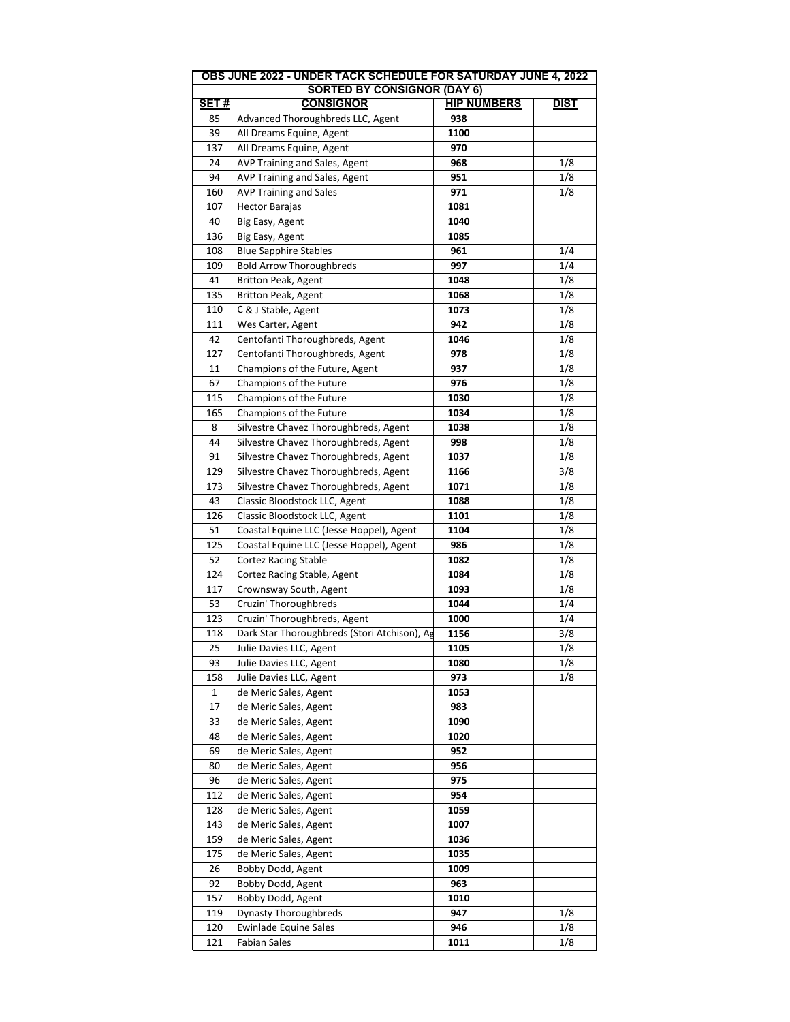|                                    | OBS JUNE 2022 - UNDER TACK SCHEDULE FOR SATURDAY JUNE 4, 2022 |                    |             |  |  |  |
|------------------------------------|---------------------------------------------------------------|--------------------|-------------|--|--|--|
| <b>SORTED BY CONSIGNOR (DAY 6)</b> |                                                               |                    |             |  |  |  |
| SET#                               | <b>CONSIGNOR</b>                                              | <b>HIP NUMBERS</b> | <b>DIST</b> |  |  |  |
| 85                                 | Advanced Thoroughbreds LLC, Agent                             | 938                |             |  |  |  |
| 39                                 | All Dreams Equine, Agent                                      | 1100               |             |  |  |  |
| 137                                | All Dreams Equine, Agent                                      | 970                |             |  |  |  |
| 24                                 | AVP Training and Sales, Agent                                 | 968                | 1/8         |  |  |  |
| 94                                 | AVP Training and Sales, Agent                                 | 951                | 1/8         |  |  |  |
| 160                                | <b>AVP Training and Sales</b>                                 | 971                | 1/8         |  |  |  |
| 107                                | <b>Hector Barajas</b>                                         | 1081               |             |  |  |  |
| 40                                 | Big Easy, Agent                                               | 1040               |             |  |  |  |
| 136                                | Big Easy, Agent                                               | 1085               |             |  |  |  |
| 108                                | <b>Blue Sapphire Stables</b>                                  | 961                | 1/4         |  |  |  |
| 109                                | <b>Bold Arrow Thoroughbreds</b>                               | 997                | 1/4         |  |  |  |
| 41                                 | <b>Britton Peak, Agent</b>                                    | 1048               | 1/8         |  |  |  |
| 135                                | Britton Peak, Agent                                           | 1068               | 1/8         |  |  |  |
| 110                                | C & J Stable, Agent                                           | 1073               | 1/8         |  |  |  |
| 111                                |                                                               |                    |             |  |  |  |
| 42                                 | Wes Carter, Agent                                             | 942                | 1/8         |  |  |  |
|                                    | Centofanti Thoroughbreds, Agent                               | 1046               | 1/8         |  |  |  |
| 127                                | Centofanti Thoroughbreds, Agent                               | 978                | 1/8         |  |  |  |
| 11                                 | Champions of the Future, Agent                                | 937                | 1/8         |  |  |  |
| 67                                 | Champions of the Future                                       | 976                | 1/8         |  |  |  |
| 115                                | Champions of the Future                                       | 1030               | 1/8         |  |  |  |
| 165                                | Champions of the Future                                       | 1034               | 1/8         |  |  |  |
| 8                                  | Silvestre Chavez Thoroughbreds, Agent                         | 1038               | 1/8         |  |  |  |
| 44                                 | Silvestre Chavez Thoroughbreds, Agent                         | 998                | 1/8         |  |  |  |
| 91                                 | Silvestre Chavez Thoroughbreds, Agent                         | 1037               | 1/8         |  |  |  |
| 129                                | Silvestre Chavez Thoroughbreds, Agent                         | 1166               | 3/8         |  |  |  |
| 173                                | Silvestre Chavez Thoroughbreds, Agent                         | 1071               | 1/8         |  |  |  |
| 43                                 | Classic Bloodstock LLC, Agent                                 | 1088               | 1/8         |  |  |  |
| 126                                | Classic Bloodstock LLC, Agent                                 | 1101               | 1/8         |  |  |  |
| 51                                 | Coastal Equine LLC (Jesse Hoppel), Agent                      | 1104               | 1/8         |  |  |  |
| 125                                | Coastal Equine LLC (Jesse Hoppel), Agent                      | 986                | 1/8         |  |  |  |
| 52                                 | <b>Cortez Racing Stable</b>                                   | 1082               | 1/8         |  |  |  |
| 124                                | Cortez Racing Stable, Agent                                   | 1084               | 1/8         |  |  |  |
| 117                                | Crownsway South, Agent                                        | 1093               | 1/8         |  |  |  |
| 53                                 | Cruzin' Thoroughbreds                                         | 1044               | 1/4         |  |  |  |
| 123                                | Cruzin' Thoroughbreds, Agent                                  | 1000               | 1/4         |  |  |  |
| 118                                | Dark Star Thoroughbreds (Stori Atchison), Ag                  | 1156               | 3/8         |  |  |  |
| 25                                 | Julie Davies LLC, Agent                                       | 1105               | 1/8         |  |  |  |
| 93                                 | Julie Davies LLC, Agent                                       | 1080               | 1/8         |  |  |  |
| 158                                | Julie Davies LLC, Agent                                       | 973                | 1/8         |  |  |  |
| 1                                  | de Meric Sales, Agent                                         | 1053               |             |  |  |  |
| 17                                 | de Meric Sales, Agent                                         | 983                |             |  |  |  |
| 33                                 | de Meric Sales, Agent                                         | 1090               |             |  |  |  |
| 48                                 | de Meric Sales, Agent                                         | 1020               |             |  |  |  |
|                                    | de Meric Sales, Agent                                         |                    |             |  |  |  |
| 69                                 |                                                               | 952                |             |  |  |  |
| 80                                 | de Meric Sales, Agent                                         | 956                |             |  |  |  |
| 96                                 | de Meric Sales, Agent                                         | 975                |             |  |  |  |
| 112                                | de Meric Sales, Agent                                         | 954                |             |  |  |  |
| 128                                | de Meric Sales, Agent                                         | 1059               |             |  |  |  |
| 143                                | de Meric Sales, Agent                                         | 1007               |             |  |  |  |
| 159                                | de Meric Sales, Agent                                         | 1036               |             |  |  |  |
| 175                                | de Meric Sales, Agent                                         | 1035               |             |  |  |  |
| 26                                 | Bobby Dodd, Agent                                             | 1009               |             |  |  |  |
| 92                                 | Bobby Dodd, Agent                                             | 963                |             |  |  |  |
| 157                                | Bobby Dodd, Agent                                             | 1010               |             |  |  |  |
| 119                                | <b>Dynasty Thoroughbreds</b>                                  | 947                | 1/8         |  |  |  |
| 120                                | <b>Ewinlade Equine Sales</b>                                  | 946                | 1/8         |  |  |  |
| 121                                | <b>Fabian Sales</b>                                           | 1011               | 1/8         |  |  |  |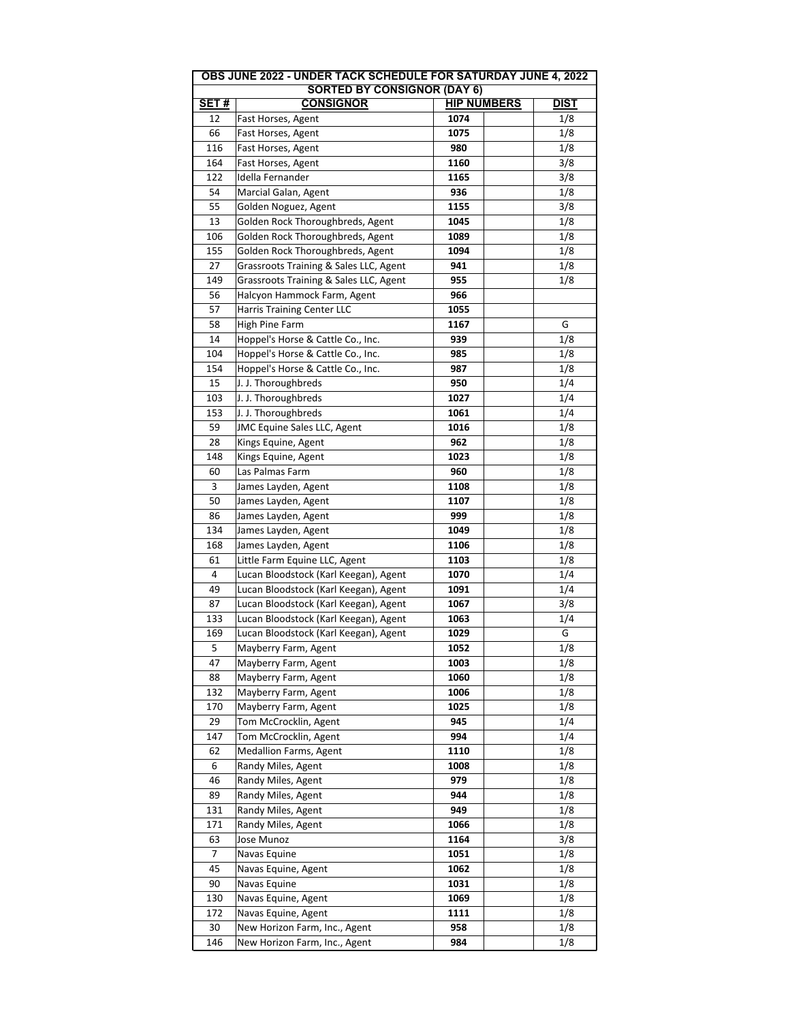| UDJ JUNL ZUZZ<br>ששבווטט א<br>LIUN SAIUNDAI JUNL 4, 2022<br><b>SORTED BY CONSIGNOR (DAY 6)</b> |                                        |                    |             |  |  |  |
|------------------------------------------------------------------------------------------------|----------------------------------------|--------------------|-------------|--|--|--|
| <b>SET#</b>                                                                                    | <b>CONSIGNOR</b>                       | <b>HIP NUMBERS</b> | <b>DIST</b> |  |  |  |
| 12                                                                                             | Fast Horses, Agent                     | 1074               | 1/8         |  |  |  |
| 66                                                                                             | Fast Horses, Agent                     | 1075               | 1/8         |  |  |  |
| 116                                                                                            |                                        | 980                |             |  |  |  |
|                                                                                                | Fast Horses, Agent                     |                    | 1/8         |  |  |  |
| 164                                                                                            | Fast Horses, Agent                     | 1160               | 3/8         |  |  |  |
| 122                                                                                            | Idella Fernander                       | 1165               | 3/8         |  |  |  |
| 54                                                                                             | Marcial Galan, Agent                   | 936                | 1/8         |  |  |  |
| 55                                                                                             | Golden Noguez, Agent                   | 1155               | 3/8         |  |  |  |
| 13                                                                                             | Golden Rock Thoroughbreds, Agent       | 1045               | 1/8         |  |  |  |
| 106                                                                                            | Golden Rock Thoroughbreds, Agent       | 1089               | 1/8         |  |  |  |
| 155                                                                                            | Golden Rock Thoroughbreds, Agent       | 1094               | 1/8         |  |  |  |
| 27                                                                                             | Grassroots Training & Sales LLC, Agent | 941                | 1/8         |  |  |  |
| 149                                                                                            | Grassroots Training & Sales LLC, Agent | 955                | 1/8         |  |  |  |
| 56                                                                                             | Halcyon Hammock Farm, Agent            | 966                |             |  |  |  |
| 57                                                                                             | <b>Harris Training Center LLC</b>      | 1055               |             |  |  |  |
| 58                                                                                             | High Pine Farm                         | 1167               | G           |  |  |  |
| 14                                                                                             | Hoppel's Horse & Cattle Co., Inc.      | 939                | 1/8         |  |  |  |
| 104                                                                                            | Hoppel's Horse & Cattle Co., Inc.      | 985                | 1/8         |  |  |  |
| 154                                                                                            | Hoppel's Horse & Cattle Co., Inc.      | 987                | 1/8         |  |  |  |
| 15                                                                                             | J. J. Thoroughbreds                    | 950                | 1/4         |  |  |  |
| 103                                                                                            | J. J. Thoroughbreds                    | 1027               | 1/4         |  |  |  |
| 153                                                                                            | J. J. Thoroughbreds                    | 1061               | 1/4         |  |  |  |
|                                                                                                |                                        |                    |             |  |  |  |
| 59                                                                                             | <b>JMC Equine Sales LLC, Agent</b>     | 1016               | 1/8         |  |  |  |
| 28                                                                                             | Kings Equine, Agent                    | 962                | 1/8         |  |  |  |
| 148                                                                                            | Kings Equine, Agent                    | 1023               | 1/8         |  |  |  |
| 60                                                                                             | Las Palmas Farm                        | 960                | 1/8         |  |  |  |
| 3                                                                                              | James Layden, Agent                    | 1108               | 1/8         |  |  |  |
| 50                                                                                             | James Layden, Agent                    | 1107               | 1/8         |  |  |  |
| 86                                                                                             | James Layden, Agent                    | 999                | 1/8         |  |  |  |
| 134                                                                                            | James Layden, Agent                    | 1049               | 1/8         |  |  |  |
| 168                                                                                            | James Layden, Agent                    | 1106               | 1/8         |  |  |  |
| 61                                                                                             | Little Farm Equine LLC, Agent          | 1103               | 1/8         |  |  |  |
| 4                                                                                              | Lucan Bloodstock (Karl Keegan), Agent  | 1070               | 1/4         |  |  |  |
| 49                                                                                             | Lucan Bloodstock (Karl Keegan), Agent  | 1091               | 1/4         |  |  |  |
| 87                                                                                             | Lucan Bloodstock (Karl Keegan), Agent  | 1067               | 3/8         |  |  |  |
| 133                                                                                            | Lucan Bloodstock (Karl Keegan), Agent  | 1063               | 1/4         |  |  |  |
| 169                                                                                            | Lucan Bloodstock (Karl Keegan), Agent  | 1029               | G           |  |  |  |
| 5                                                                                              | Mayberry Farm, Agent                   | 1052               | 1/8         |  |  |  |
| 47                                                                                             | Mayberry Farm, Agent                   | 1003               | 1/8         |  |  |  |
| 88                                                                                             | Mayberry Farm, Agent                   | 1060               | 1/8         |  |  |  |
| 132                                                                                            | Mayberry Farm, Agent                   | 1006               | 1/8         |  |  |  |
| 170                                                                                            | Mayberry Farm, Agent                   | 1025               | 1/8         |  |  |  |
|                                                                                                |                                        |                    |             |  |  |  |
| 29                                                                                             | Tom McCrocklin, Agent                  | 945                | 1/4         |  |  |  |
| 147                                                                                            | Tom McCrocklin, Agent                  | 994                | 1/4         |  |  |  |
| 62                                                                                             | <b>Medallion Farms, Agent</b>          | 1110               | 1/8         |  |  |  |
| 6                                                                                              | Randy Miles, Agent                     | 1008               | 1/8         |  |  |  |
| 46                                                                                             | Randy Miles, Agent                     | 979                | 1/8         |  |  |  |
| 89                                                                                             | Randy Miles, Agent                     | 944                | 1/8         |  |  |  |
| 131                                                                                            | Randy Miles, Agent                     | 949                | 1/8         |  |  |  |
| 171                                                                                            | Randy Miles, Agent                     | 1066               | 1/8         |  |  |  |
| 63                                                                                             | Jose Munoz                             | 1164               | 3/8         |  |  |  |
| 7                                                                                              | Navas Equine                           | 1051               | 1/8         |  |  |  |
| 45                                                                                             | Navas Equine, Agent                    | 1062               | 1/8         |  |  |  |
| 90                                                                                             | Navas Equine                           | 1031               | 1/8         |  |  |  |
| 130                                                                                            | Navas Equine, Agent                    | 1069               | 1/8         |  |  |  |
| 172                                                                                            | Navas Equine, Agent                    | 1111               | 1/8         |  |  |  |
| 30                                                                                             | New Horizon Farm, Inc., Agent          | 958                | 1/8         |  |  |  |
| 146                                                                                            | New Horizon Farm, Inc., Agent          | 984                | 1/8         |  |  |  |

**OBS JUNE 2022 - UNDER TACK SCHEDULE FOR SATURDAY JUNE 4, 2022**